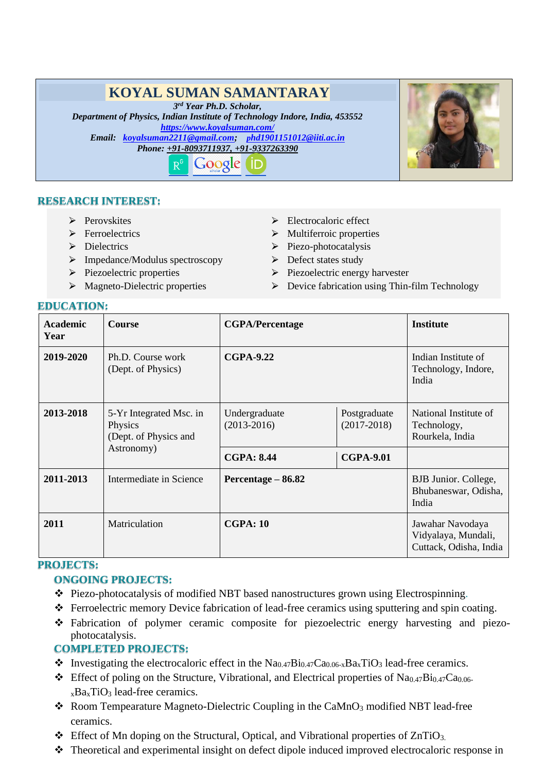# **KOYAL SUMAN SAMANTARAY**

*3 rd Year Ph.D. Scholar,* 

*Department of Physics, Indian Institute of Technology Indore, India, 453552 <https://www.koyalsuman.com/> Email: [koyalsuman2211@gmail.com;](mailto:koyalsuman2211@gmail.com) [p](mailto:phd1901151012@iiti.ac.in)[hd1901151012@iiti.ac.in](mailto:phd1901151012@iiti.ac.in)*

*Phone: +91-8093711937, +91-9337263390*



## **RESEARCH INTEREST:**

- > Perovskites
- $\triangleright$  Ferroelectrics
- $\triangleright$  Dielectrics
- > Impedance/Modulus spectroscopy
- $\triangleright$  Piezoelectric properties
- $\triangleright$  Magneto-Dielectric properties
- > Electrocaloric effect
- $\triangleright$  Multiferroic properties
- $\triangleright$  Piezo-photocatalysis
- $\triangleright$  Defect states study
- $\triangleright$  Piezoelectric energy harvester
- $\triangleright$  Device fabrication using Thin-film Technology

#### **EDUCATION:**

| <b>Academic</b><br>Year | <b>Course</b>                                                             | <b>CGPA/Percentage</b>           |                                 | <b>Institute</b>                                                  |
|-------------------------|---------------------------------------------------------------------------|----------------------------------|---------------------------------|-------------------------------------------------------------------|
| 2019-2020               | Ph.D. Course work<br>(Dept. of Physics)                                   | <b>CGPA-9.22</b>                 |                                 | Indian Institute of<br>Technology, Indore,<br>India               |
| 2013-2018               | 5-Yr Integrated Msc. in<br>Physics<br>(Dept. of Physics and<br>Astronomy) | Undergraduate<br>$(2013 - 2016)$ | Postgraduate<br>$(2017 - 2018)$ | National Institute of<br>Technology,<br>Rourkela, India           |
|                         |                                                                           | <b>CGPA: 8.44</b>                | <b>CGPA-9.01</b>                |                                                                   |
| 2011-2013               | Intermediate in Science                                                   | Percentage – 86.82               |                                 | BJB Junior. College,<br>Bhubaneswar, Odisha,<br>India             |
| 2011                    | Matriculation                                                             | <b>CGPA: 10</b>                  |                                 | Jawahar Navodaya<br>Vidyalaya, Mundali,<br>Cuttack, Odisha, India |

#### **PROJECTS:**

#### **ONGOING PROJECTS:**

- ❖ Piezo-photocatalysis of modified NBT based nanostructures grown using Electrospinning.
- ❖ Ferroelectric memory Device fabrication of lead-free ceramics using sputtering and spin coating.
- ❖ Fabrication of polymer ceramic composite for piezoelectric energy harvesting and piezophotocatalysis.

#### **COMPLETED PROJECTS:**

- $\bullet$  Investigating the electrocaloric effect in the Na<sub>0.47</sub>Bi<sub>0.47</sub>Ca<sub>0.06-x</sub>Ba<sub>x</sub>TiO<sub>3</sub> lead-free ceramics.
- ❖ Effect of poling on the Structure, Vibrational, and Electrical properties of Na0.47Bi0.47Ca0.06  $xBa<sub>x</sub>TiO<sub>3</sub>$  lead-free ceramics.
- ❖ Room Tempearature Magneto-Dielectric Coupling in the CaMnO<sup>3</sup> modified NBT lead-free ceramics.
- $\triangleleft$  Effect of Mn doping on the Structural, Optical, and Vibrational properties of ZnTiO<sub>3</sub>.
- ❖ Theoretical and experimental insight on defect dipole induced improved electrocaloric response in